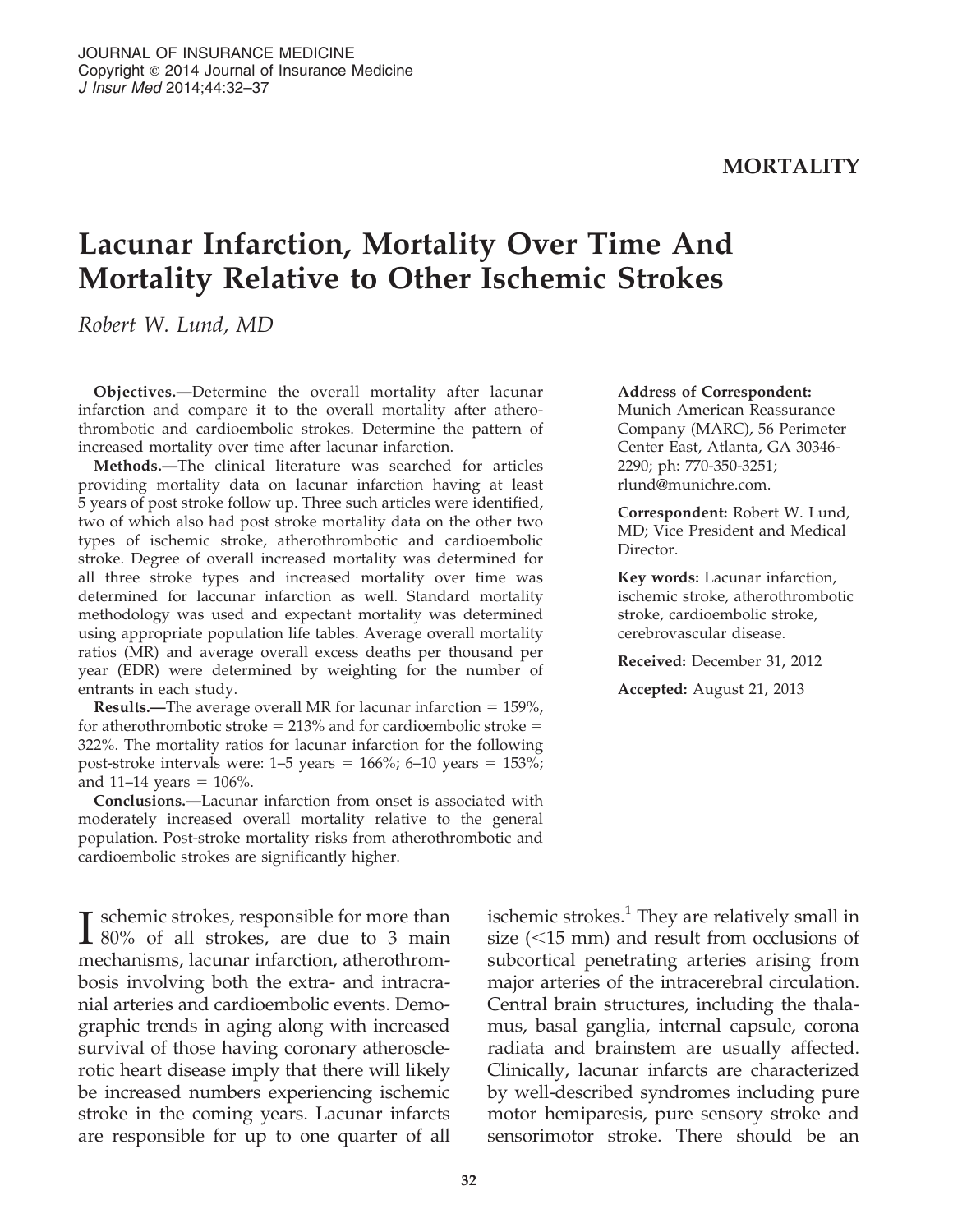## **MORTALITY**

# Lacunar Infarction, Mortality Over Time And Mortality Relative to Other Ischemic Strokes

Robert W. Lund, MD

Objectives.—Determine the overall mortality after lacunar infarction and compare it to the overall mortality after atherothrombotic and cardioembolic strokes. Determine the pattern of increased mortality over time after lacunar infarction.

Methods.—The clinical literature was searched for articles providing mortality data on lacunar infarction having at least 5 years of post stroke follow up. Three such articles were identified, two of which also had post stroke mortality data on the other two types of ischemic stroke, atherothrombotic and cardioembolic stroke. Degree of overall increased mortality was determined for all three stroke types and increased mortality over time was determined for laccunar infarction as well. Standard mortality methodology was used and expectant mortality was determined using appropriate population life tables. Average overall mortality ratios (MR) and average overall excess deaths per thousand per year (EDR) were determined by weighting for the number of entrants in each study.

**Results.—The average overall MR for lacunar infarction = 159%,** for atherothrombotic stroke  $= 213%$  and for cardioembolic stroke  $=$ 322%. The mortality ratios for lacunar infarction for the following post-stroke intervals were:  $1-5$  years =  $166\%$ ; 6–10 years =  $153\%$ ; and 11–14 years =  $106\%$ .

Conclusions.—Lacunar infarction from onset is associated with moderately increased overall mortality relative to the general population. Post-stroke mortality risks from atherothrombotic and cardioembolic strokes are significantly higher.

**T** schemic strokes, responsible for more than **1** 80% of all strokes, are due to 3 main mechanisms, lacunar infarction, atherothrombosis involving both the extra- and intracranial arteries and cardioembolic events. Demographic trends in aging along with increased survival of those having coronary atherosclerotic heart disease imply that there will likely be increased numbers experiencing ischemic stroke in the coming years. Lacunar infarcts are responsible for up to one quarter of all

#### Address of Correspondent:

Munich American Reassurance Company (MARC), 56 Perimeter Center East, Atlanta, GA 30346- 2290; ph: 770-350-3251; rlund@munichre.com.

Correspondent: Robert W. Lund, MD; Vice President and Medical Director.

Key words: Lacunar infarction, ischemic stroke, atherothrombotic stroke, cardioembolic stroke, cerebrovascular disease.

Received: December 31, 2012

Accepted: August 21, 2013

ischemic strokes. $<sup>1</sup>$  They are relatively small in</sup> size  $(<15$  mm) and result from occlusions of subcortical penetrating arteries arising from major arteries of the intracerebral circulation. Central brain structures, including the thalamus, basal ganglia, internal capsule, corona radiata and brainstem are usually affected. Clinically, lacunar infarcts are characterized by well-described syndromes including pure motor hemiparesis, pure sensory stroke and sensorimotor stroke. There should be an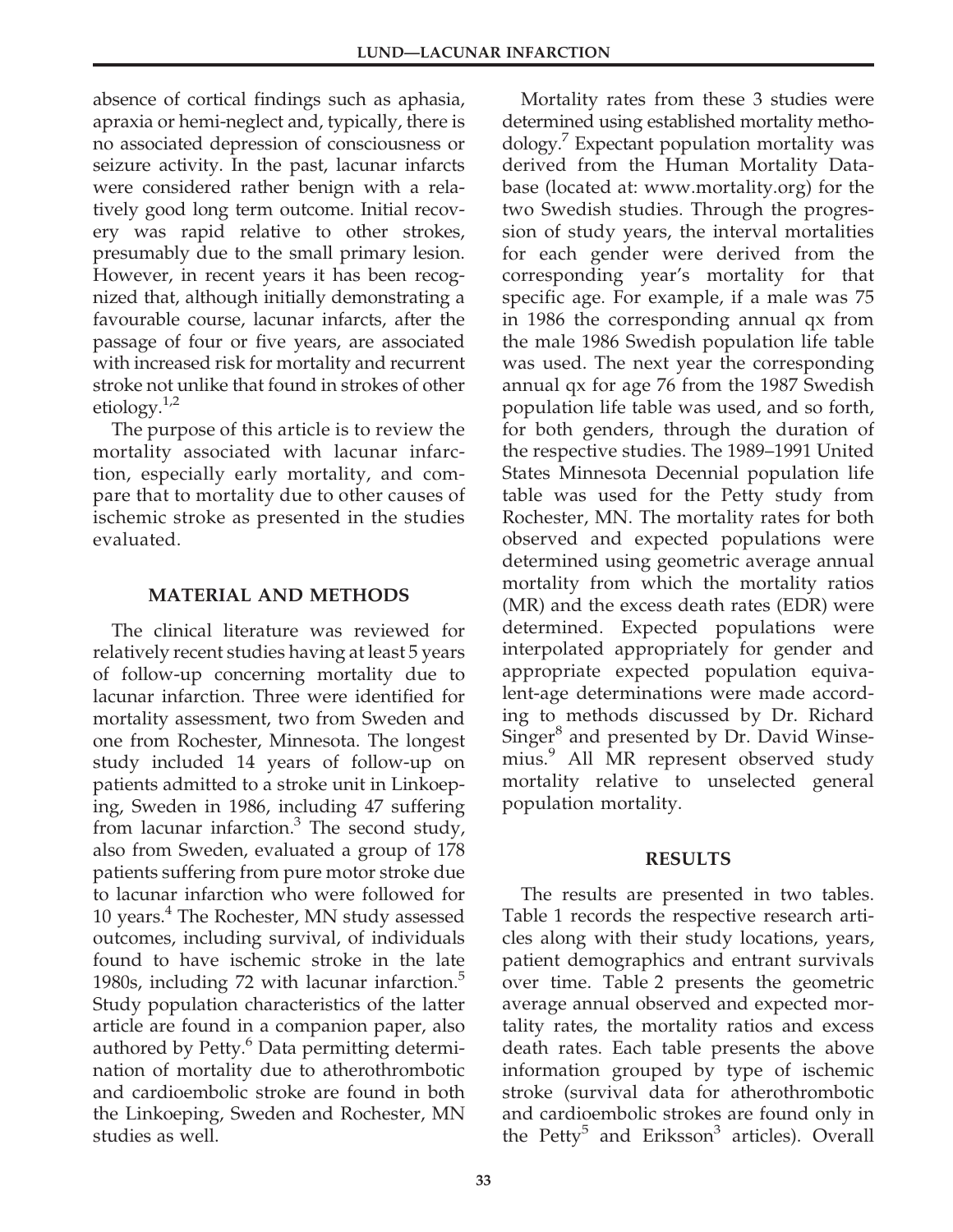absence of cortical findings such as aphasia, apraxia or hemi-neglect and, typically, there is no associated depression of consciousness or seizure activity. In the past, lacunar infarcts were considered rather benign with a relatively good long term outcome. Initial recovery was rapid relative to other strokes, presumably due to the small primary lesion. However, in recent years it has been recognized that, although initially demonstrating a favourable course, lacunar infarcts, after the passage of four or five years, are associated with increased risk for mortality and recurrent stroke not unlike that found in strokes of other etiology. $1/2$ 

The purpose of this article is to review the mortality associated with lacunar infarction, especially early mortality, and compare that to mortality due to other causes of ischemic stroke as presented in the studies evaluated.

# MATERIAL AND METHODS

The clinical literature was reviewed for relatively recent studies having at least 5 years of follow-up concerning mortality due to lacunar infarction. Three were identified for mortality assessment, two from Sweden and one from Rochester, Minnesota. The longest study included 14 years of follow-up on patients admitted to a stroke unit in Linkoeping, Sweden in 1986, including 47 suffering from lacunar infarction. $3$  The second study, also from Sweden, evaluated a group of 178 patients suffering from pure motor stroke due to lacunar infarction who were followed for 10 years.<sup>4</sup> The Rochester, MN study assessed outcomes, including survival, of individuals found to have ischemic stroke in the late 1980s, including 72 with lacunar infarction.<sup>5</sup> Study population characteristics of the latter article are found in a companion paper, also authored by Petty.<sup>6</sup> Data permitting determination of mortality due to atherothrombotic and cardioembolic stroke are found in both the Linkoeping, Sweden and Rochester, MN studies as well.

Mortality rates from these 3 studies were determined using established mortality methodology. Expectant population mortality was derived from the Human Mortality Database (located at: www.mortality.org) for the two Swedish studies. Through the progression of study years, the interval mortalities for each gender were derived from the corresponding year's mortality for that specific age. For example, if a male was 75 in 1986 the corresponding annual qx from the male 1986 Swedish population life table was used. The next year the corresponding annual qx for age 76 from the 1987 Swedish population life table was used, and so forth, for both genders, through the duration of the respective studies. The 1989–1991 United States Minnesota Decennial population life table was used for the Petty study from Rochester, MN. The mortality rates for both observed and expected populations were determined using geometric average annual mortality from which the mortality ratios (MR) and the excess death rates (EDR) were determined. Expected populations were interpolated appropriately for gender and appropriate expected population equivalent-age determinations were made according to methods discussed by Dr. Richard Singer<sup>8</sup> and presented by Dr. David Winsemius.<sup>9</sup> All MR represent observed study mortality relative to unselected general population mortality.

## RESULTS

The results are presented in two tables. Table 1 records the respective research articles along with their study locations, years, patient demographics and entrant survivals over time. Table 2 presents the geometric average annual observed and expected mortality rates, the mortality ratios and excess death rates. Each table presents the above information grouped by type of ischemic stroke (survival data for atherothrombotic and cardioembolic strokes are found only in the Petty<sup>5</sup> and Eriksson<sup>3</sup> articles). Overall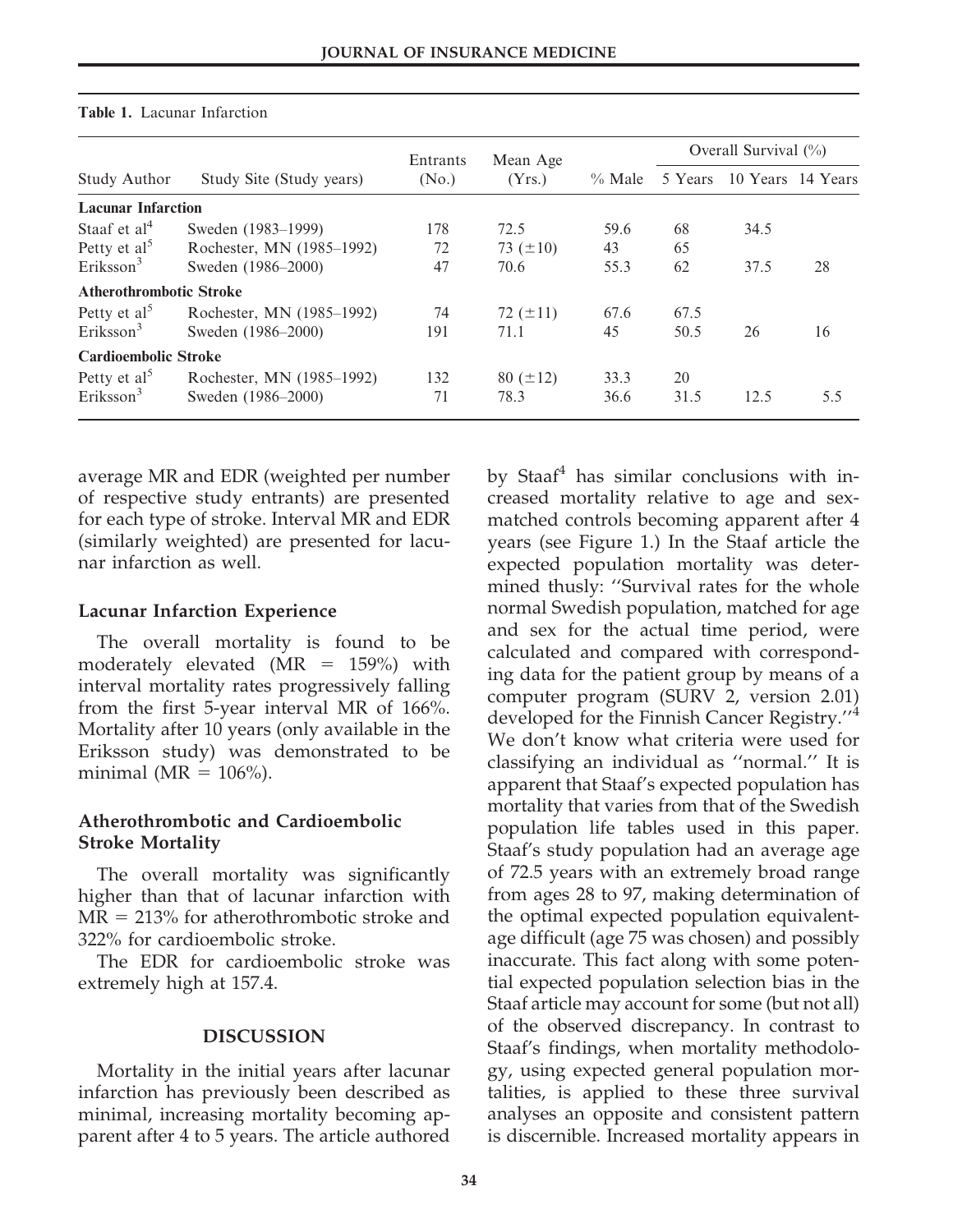|                                | Study Site (Study years)  | Entrants          | Mean Age      | $\%$ Male | Overall Survival $(\%)$ |      |                   |
|--------------------------------|---------------------------|-------------------|---------------|-----------|-------------------------|------|-------------------|
| <b>Study Author</b>            |                           | (N <sub>0</sub> ) | (Yrs.)        |           | 5 Years                 |      | 10 Years 14 Years |
| <b>Lacunar Infarction</b>      |                           |                   |               |           |                         |      |                   |
| Staaf et $al4$                 | Sweden (1983–1999)        | 178               | 72.5          | 59.6      | 68                      | 34.5 |                   |
| Petty et $al5$                 | Rochester, MN (1985–1992) | 72                | 73 $(\pm 10)$ | 43        | 65                      |      |                   |
| Eriksson <sup>3</sup>          | Sweden (1986–2000)        | 47                | 70.6          | 55.3      | 62                      | 37.5 | 28                |
| <b>Atherothrombotic Stroke</b> |                           |                   |               |           |                         |      |                   |
| Petty et $al5$                 | Rochester, MN (1985–1992) | 74                | 72 $(\pm 11)$ | 67.6      | 67.5                    |      |                   |
| Eriksson <sup>3</sup>          | Sweden (1986–2000)        | 191               | 71.1          | 45        | 50.5                    | 26   | 16                |
| <b>Cardioembolic Stroke</b>    |                           |                   |               |           |                         |      |                   |
| Petty et al <sup>5</sup>       | Rochester, MN (1985–1992) | 132               | $80 (\pm 12)$ | 33.3      | 20                      |      |                   |
| Eriksson <sup>3</sup>          | Sweden (1986-2000)        | 71                | 78.3          | 36.6      | 31.5                    | 12.5 | 5.5               |

#### Table 1. Lacunar Infarction

average MR and EDR (weighted per number of respective study entrants) are presented for each type of stroke. Interval MR and EDR (similarly weighted) are presented for lacunar infarction as well.

#### Lacunar Infarction Experience

The overall mortality is found to be moderately elevated (MR  $= 159\%$ ) with interval mortality rates progressively falling from the first 5-year interval MR of 166%. Mortality after 10 years (only available in the Eriksson study) was demonstrated to be minimal ( $MR = 106\%$ ).

## Atherothrombotic and Cardioembolic Stroke Mortality

The overall mortality was significantly higher than that of lacunar infarction with  $MR = 213\%$  for atherothrombotic stroke and 322% for cardioembolic stroke.

The EDR for cardioembolic stroke was extremely high at 157.4.

#### DISCUSSION

Mortality in the initial years after lacunar infarction has previously been described as minimal, increasing mortality becoming apparent after 4 to 5 years. The article authored by Staaf<sup>4</sup> has similar conclusions with increased mortality relative to age and sexmatched controls becoming apparent after 4 years (see Figure 1.) In the Staaf article the expected population mortality was determined thusly: ''Survival rates for the whole normal Swedish population, matched for age and sex for the actual time period, were calculated and compared with corresponding data for the patient group by means of a computer program (SURV 2, version 2.01) developed for the Finnish Cancer Registry.''<sup>4</sup> We don't know what criteria were used for classifying an individual as ''normal.'' It is apparent that Staaf's expected population has mortality that varies from that of the Swedish population life tables used in this paper. Staaf's study population had an average age of 72.5 years with an extremely broad range from ages 28 to 97, making determination of the optimal expected population equivalentage difficult (age 75 was chosen) and possibly inaccurate. This fact along with some potential expected population selection bias in the Staaf article may account for some (but not all) of the observed discrepancy. In contrast to Staaf's findings, when mortality methodology, using expected general population mortalities, is applied to these three survival analyses an opposite and consistent pattern is discernible. Increased mortality appears in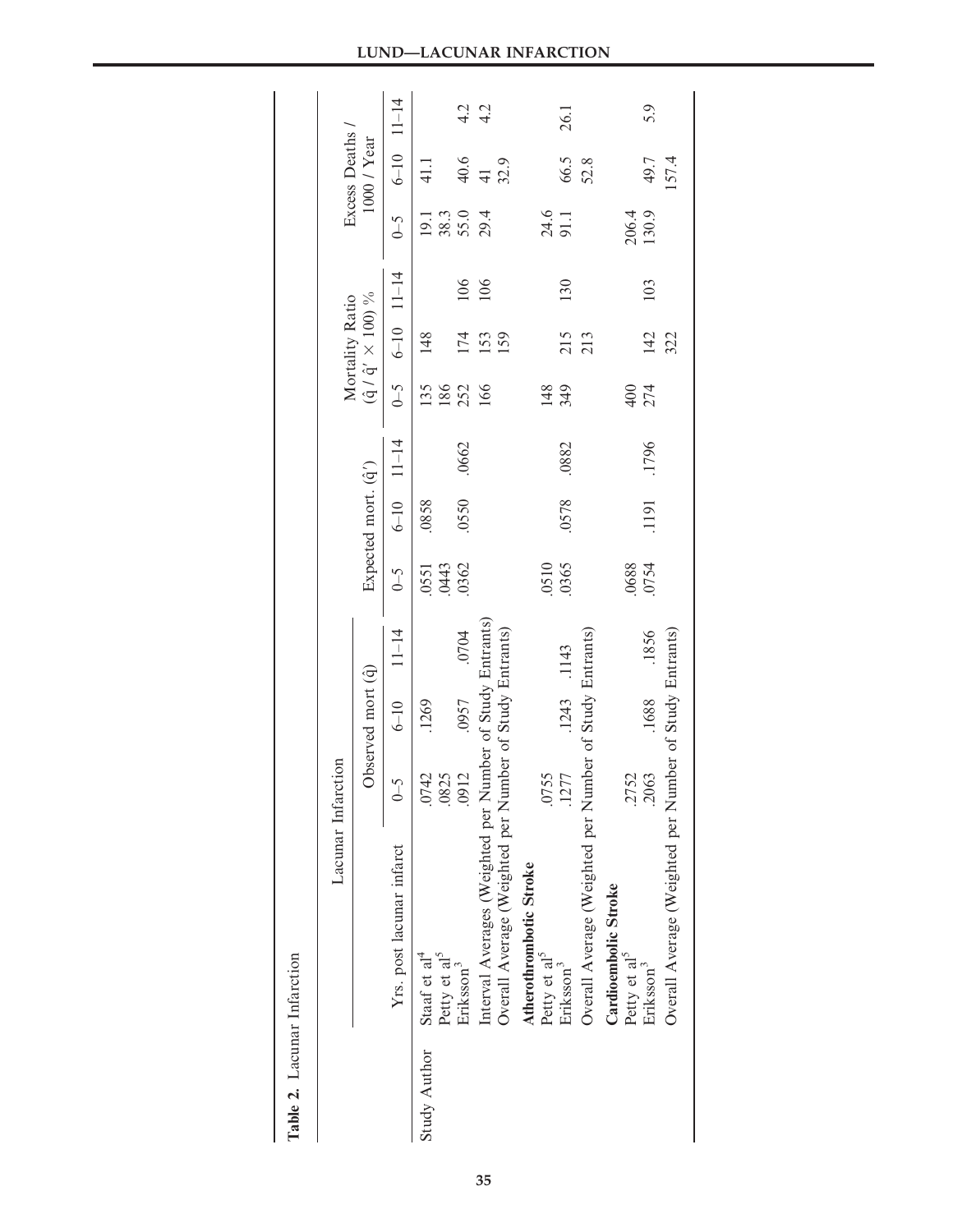|                     |                                                           | Lacunar Infarction |                    |           |       |                     |                |       | Mortality Ratio                   |                |                            | Excess Deaths |      |
|---------------------|-----------------------------------------------------------|--------------------|--------------------|-----------|-------|---------------------|----------------|-------|-----------------------------------|----------------|----------------------------|---------------|------|
|                     |                                                           |                    | Observed mort (q̂) |           |       | Expected mort. (q') |                |       | $(\hat{q}/\hat{q}' \times 100)$ % |                |                            | 1000 / Year   |      |
|                     | Yrs. post lacunar infarct                                 | $\zeta$ -0         | $6 - 10$           | $11 - 14$ | $6-5$ |                     | $6-10$ $11-14$ | $6-6$ |                                   | $6-10$ $11-14$ | $6-5$                      | $6-10$ 11-14  |      |
| <b>Study Author</b> | Staaf et al <sup>4</sup>                                  | r<br>.074          | .1269              |           | 0551  | .0858               |                | 135   | 148                               |                |                            | 41.1          |      |
|                     | Petty et al <sup>5</sup>                                  | .082               |                    |           | .0443 |                     |                | 186   |                                   |                | $19.3$<br>$38.3$<br>$29.4$ |               |      |
|                     | Eriksson <sup>3</sup>                                     | 0912               | .0957              | .0704     | 0362  | .0550               | .0662          | 252   | 174                               | 106            |                            | 40.6          | 4.2  |
|                     | Interval Averages (Weighted per Number of Study Entrants) |                    |                    |           |       |                     |                | 166   | 153                               | 106            |                            | $\frac{1}{4}$ | 4.2  |
|                     | Overall Average (Weighted per Number of Study Entrants)   |                    |                    |           |       |                     |                |       | 159                               |                |                            | 32.9          |      |
|                     | Atherothrombotic Stroke                                   |                    |                    |           |       |                     |                |       |                                   |                |                            |               |      |
|                     | Petty et al <sup>5</sup>                                  | .0755              |                    |           | .0510 |                     |                | 148   |                                   |                |                            |               |      |
|                     | Eriksson <sup>3</sup>                                     | .1277              | .1243 .1143        |           | .0365 | .0578               | .0882          | 349   | 215                               | 130            | 24.6<br>91.1               | 66.5          | 26.1 |
|                     | Overall Average (Weighted per Number of Study Entrants)   |                    |                    |           |       |                     |                |       |                                   |                |                            | 52.8          |      |
|                     | Cardioembolic Stroke                                      |                    |                    |           |       |                     |                |       |                                   |                |                            |               |      |
|                     | Petty et al <sup>2</sup>                                  | .2752              |                    |           | .0688 |                     |                | 400   |                                   |                | 206.4<br>130.9             |               |      |
|                     | Eriksson <sup>3</sup>                                     | 2063               | .1688              | .1856     | 0754  | .1191               | .1796          | 274   | 142                               | 103            |                            | 49.7          | 5.9  |
|                     | Overall Average (Weighted per Number of Study Entrants)   |                    |                    |           |       |                     |                |       | 322                               |                |                            | 157.4         |      |
|                     |                                                           |                    |                    |           |       |                     |                |       |                                   |                |                            |               |      |

| λ<br>ċ<br>7 |  |
|-------------|--|
| acunar.     |  |
|             |  |
| ă<br>ਟ      |  |

## LUND—LACUNAR INFARCTION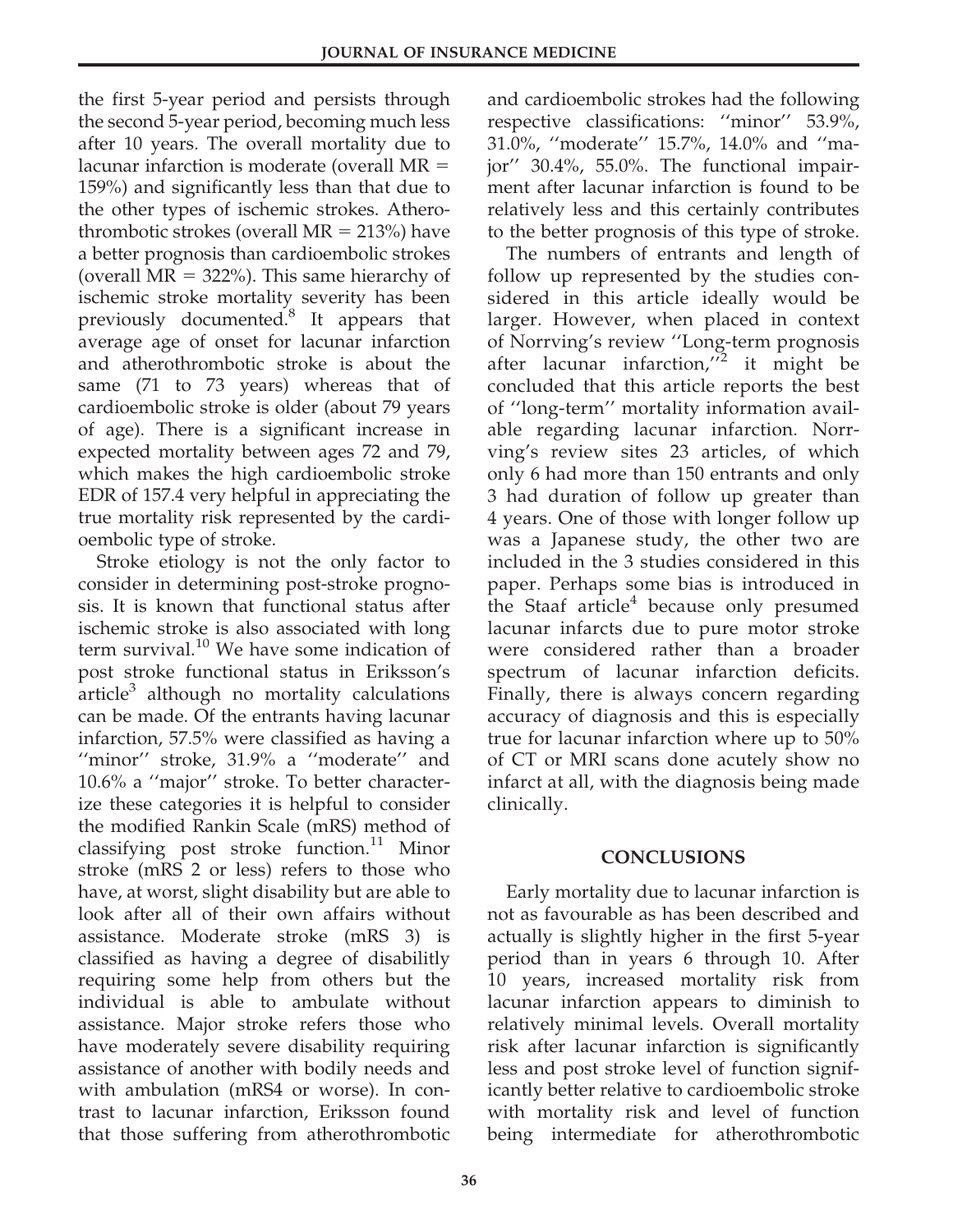the first 5-year period and persists through the second 5-year period, becoming much less after 10 years. The overall mortality due to lacunar infarction is moderate (overall  $MR =$ 159%) and significantly less than that due to the other types of ischemic strokes. Atherothrombotic strokes (overall  $MR = 213\%)$  have a better prognosis than cardioembolic strokes (overall  $MR = 322\%$ ). This same hierarchy of ischemic stroke mortality severity has been previously documented.<sup>8</sup> It appears that average age of onset for lacunar infarction and atherothrombotic stroke is about the same (71 to 73 years) whereas that of cardioembolic stroke is older (about 79 years of age). There is a significant increase in expected mortality between ages 72 and 79, which makes the high cardioembolic stroke EDR of 157.4 very helpful in appreciating the true mortality risk represented by the cardioembolic type of stroke.

Stroke etiology is not the only factor to consider in determining post-stroke prognosis. It is known that functional status after ischemic stroke is also associated with long term survival.<sup>10</sup> We have some indication of post stroke functional status in Eriksson's article<sup>3</sup> although no mortality calculations can be made. Of the entrants having lacunar infarction, 57.5% were classified as having a "minor" stroke, 31.9% a "moderate" and 10.6% a ''major'' stroke. To better characterize these categories it is helpful to consider the modified Rankin Scale (mRS) method of classifying post stroke function.<sup>11</sup> Minor stroke (mRS 2 or less) refers to those who have, at worst, slight disability but are able to look after all of their own affairs without assistance. Moderate stroke (mRS 3) is classified as having a degree of disabilitly requiring some help from others but the individual is able to ambulate without assistance. Major stroke refers those who have moderately severe disability requiring assistance of another with bodily needs and with ambulation (mRS4 or worse). In contrast to lacunar infarction, Eriksson found that those suffering from atherothrombotic

and cardioembolic strokes had the following respective classifications: ''minor'' 53.9%, 31.0%, ''moderate'' 15.7%, 14.0% and ''major'' 30.4%, 55.0%. The functional impairment after lacunar infarction is found to be relatively less and this certainly contributes to the better prognosis of this type of stroke.

The numbers of entrants and length of follow up represented by the studies considered in this article ideally would be larger. However, when placed in context of Norrving's review ''Long-term prognosis after lacunar infarction, $i^2$  it might be concluded that this article reports the best of ''long-term'' mortality information available regarding lacunar infarction. Norrving's review sites 23 articles, of which only 6 had more than 150 entrants and only 3 had duration of follow up greater than 4 years. One of those with longer follow up was a Japanese study, the other two are included in the 3 studies considered in this paper. Perhaps some bias is introduced in the Staaf article $4$  because only presumed lacunar infarcts due to pure motor stroke were considered rather than a broader spectrum of lacunar infarction deficits. Finally, there is always concern regarding accuracy of diagnosis and this is especially true for lacunar infarction where up to 50% of CT or MRI scans done acutely show no infarct at all, with the diagnosis being made clinically.

# CONCLUSIONS

Early mortality due to lacunar infarction is not as favourable as has been described and actually is slightly higher in the first 5-year period than in years 6 through 10. After 10 years, increased mortality risk from lacunar infarction appears to diminish to relatively minimal levels. Overall mortality risk after lacunar infarction is significantly less and post stroke level of function significantly better relative to cardioembolic stroke with mortality risk and level of function being intermediate for atherothrombotic